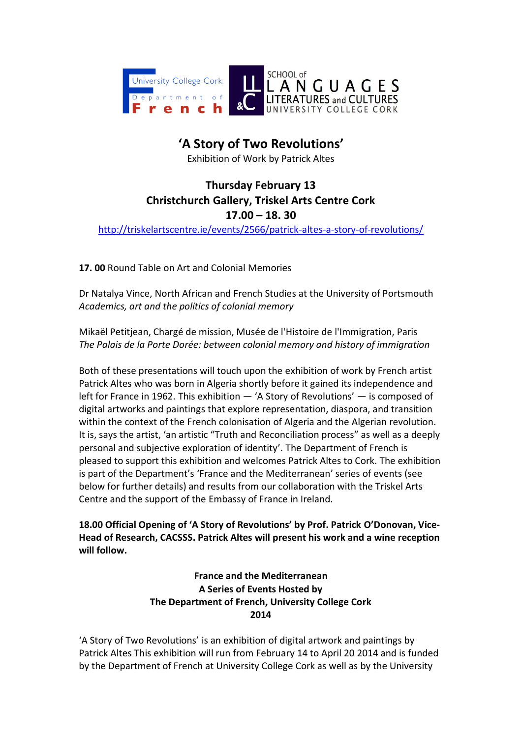

## **'A Story of Two Revolutions'**

Exhibition of Work by Patrick Altes

## **Thursday February 13 Christchurch Gallery, Triskel Arts Centre Cork 17.00 – 18. 30** [http://triskelartscentre.ie/events/2566/patrick-altes-a-story-of-revolutions/](https://email.ucc.ie/owa/redir.aspx?C=WniYfAe_NkKA7B-K4dfgZm6tnDwx7NAIR-A7G3SPnClWufiITS1nyYnzf_FCS0lgQbBbG2Jzniw.&URL=http%3a%2f%2ftriskelartscentre.ie%2fevents%2f2566%2fpatrick-altes-a-story-of-revolutions%2f)

**17. 00** Round Table on Art and Colonial Memories

Dr Natalya Vince, North African and French Studies at the University of Portsmouth *Academics, art and the politics of colonial memory*

Mikaël Petitjean, Chargé de mission, Musée de l'Histoire de l'Immigration, Paris *The Palais de la Porte Dorée: between colonial memory and history of immigration*

Both of these presentations will touch upon the exhibition of work by French artist Patrick Altes who was born in Algeria shortly before it gained its independence and left for France in 1962. This exhibition — 'A Story of Revolutions' — is composed of digital artworks and paintings that explore representation, diaspora, and transition within the context of the French colonisation of Algeria and the Algerian revolution. It is, says the artist, 'an artistic "Truth and Reconciliation process" as well as a deeply personal and subjective exploration of identity'. The Department of French is pleased to support this exhibition and welcomes Patrick Altes to Cork. The exhibition is part of the Department's 'France and the Mediterranean' series of events (see below for further details) and results from our collaboration with the Triskel Arts Centre and the support of the Embassy of France in Ireland.

**18.00 Official Opening of 'A Story of Revolutions' by Prof. Patrick O'Donovan, Vice-Head of Research, CACSSS. Patrick Altes will present his work and a wine reception will follow.**

> **France and the Mediterranean A Series of Events Hosted by The Department of French, University College Cork 2014**

'A Story of Two Revolutions' is an exhibition of digital artwork and paintings by Patrick Altes This exhibition will run from February 14 to April 20 2014 and is funded by the Department of French at University College Cork as well as by the University